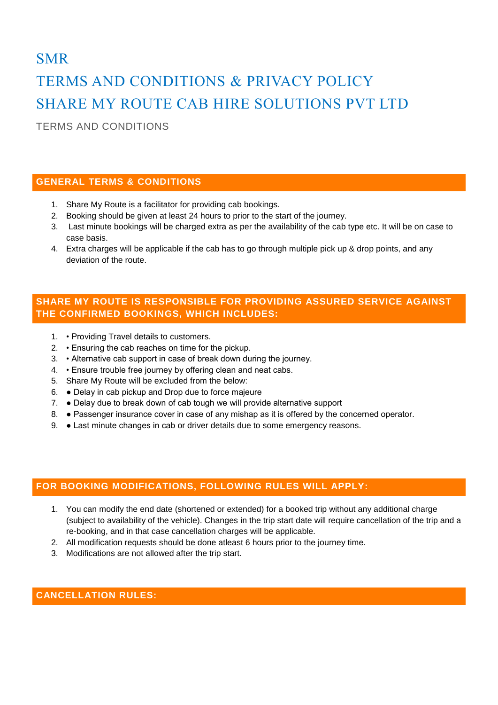# SMR TERMS AND CONDITIONS & PRIVACY POLICY SHARE MY ROUTE CAB HIRE SOLUTIONS PVT LTD

TERMS AND CONDITIONS

## **GENERAL TERMS & CONDITIONS**

- 1. Share My Route is a facilitator for providing cab bookings.
- 2. Booking should be given at least 24 hours to prior to the start of the journey.
- 3. Last minute bookings will be charged extra as per the availability of the cab type etc. It will be on case to case basis.
- 4. Extra charges will be applicable if the cab has to go through multiple pick up & drop points, and any deviation of the route.

## **SHARE MY ROUTE IS RESPONSIBLE FOR PROVIDING ASSURED SERVICE AGAINST THE CONFIRMED BOOKINGS, WHICH INCLUDES:**

- 1. Providing Travel details to customers.
- 2. Ensuring the cab reaches on time for the pickup.
- 3. Alternative cab support in case of break down during the journey.
- 4. Ensure trouble free journey by offering clean and neat cabs.
- 5. Share My Route will be excluded from the below:
- 6. Delay in cab pickup and Drop due to force majeure
- 7. Delay due to break down of cab tough we will provide alternative support
- 8. Passenger insurance cover in case of any mishap as it is offered by the concerned operator.
- 9. Last minute changes in cab or driver details due to some emergency reasons.

## **FOR BOOKING MODIFICATIONS, FOLLOWING RULES WILL APPLY:**

- 1. You can modify the end date (shortened or extended) for a booked trip without any additional charge (subject to availability of the vehicle). Changes in the trip start date will require cancellation of the trip and a re-booking, and in that case cancellation charges will be applicable.
- 2. All modification requests should be done atleast 6 hours prior to the journey time.
- 3. Modifications are not allowed after the trip start.

## **CANCELLATION RULES:**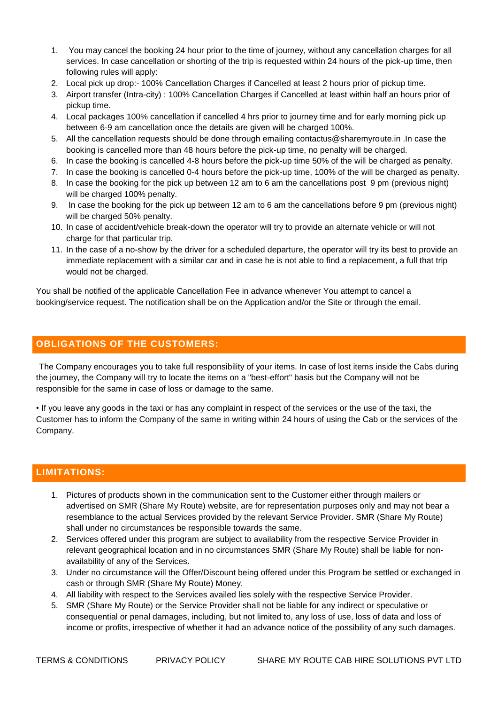- 1. You may cancel the booking 24 hour prior to the time of journey, without any cancellation charges for all services. In case cancellation or shorting of the trip is requested within 24 hours of the pick-up time, then following rules will apply:
- 2. Local pick up drop:- 100% Cancellation Charges if Cancelled at least 2 hours prior of pickup time.
- 3. Airport transfer (Intra-city) : 100% Cancellation Charges if Cancelled at least within half an hours prior of pickup time.
- 4. Local packages 100% cancellation if cancelled 4 hrs prior to journey time and for early morning pick up between 6-9 am cancellation once the details are given will be charged 100%.
- 5. All the cancellation requests should be done through emailing contactus@sharemyroute.in .In case the booking is cancelled more than 48 hours before the pick-up time, no penalty will be charged.
- 6. In case the booking is cancelled 4-8 hours before the pick-up time 50% of the will be charged as penalty.
- 7. In case the booking is cancelled 0-4 hours before the pick-up time, 100% of the will be charged as penalty.
- 8. In case the booking for the pick up between 12 am to 6 am the cancellations post 9 pm (previous night) will be charged 100% penalty.
- 9. In case the booking for the pick up between 12 am to 6 am the cancellations before 9 pm (previous night) will be charged 50% penalty.
- 10. In case of accident/vehicle break-down the operator will try to provide an alternate vehicle or will not charge for that particular trip.
- 11. In the case of a no-show by the driver for a scheduled departure, the operator will try its best to provide an immediate replacement with a similar car and in case he is not able to find a replacement, a full that trip would not be charged.

You shall be notified of the applicable Cancellation Fee in advance whenever You attempt to cancel a booking/service request. The notification shall be on the Application and/or the Site or through the email.

#### **OBLIGATIONS OF THE CUSTOMERS:**

The Company encourages you to take full responsibility of your items. In case of lost items inside the Cabs during the journey, the Company will try to locate the items on a "best-effort" basis but the Company will not be responsible for the same in case of loss or damage to the same.

• If you leave any goods in the taxi or has any complaint in respect of the services or the use of the taxi, the Customer has to inform the Company of the same in writing within 24 hours of using the Cab or the services of the Company.

## **LIMITATIONS:**

- 1. Pictures of products shown in the communication sent to the Customer either through mailers or advertised on SMR (Share My Route) website, are for representation purposes only and may not bear a resemblance to the actual Services provided by the relevant Service Provider. SMR (Share My Route) shall under no circumstances be responsible towards the same.
- 2. Services offered under this program are subject to availability from the respective Service Provider in relevant geographical location and in no circumstances SMR (Share My Route) shall be liable for nonavailability of any of the Services.
- 3. Under no circumstance will the Offer/Discount being offered under this Program be settled or exchanged in cash or through SMR (Share My Route) Money.
- 4. All liability with respect to the Services availed lies solely with the respective Service Provider.
- 5. SMR (Share My Route) or the Service Provider shall not be liable for any indirect or speculative or consequential or penal damages, including, but not limited to, any loss of use, loss of data and loss of income or profits, irrespective of whether it had an advance notice of the possibility of any such damages.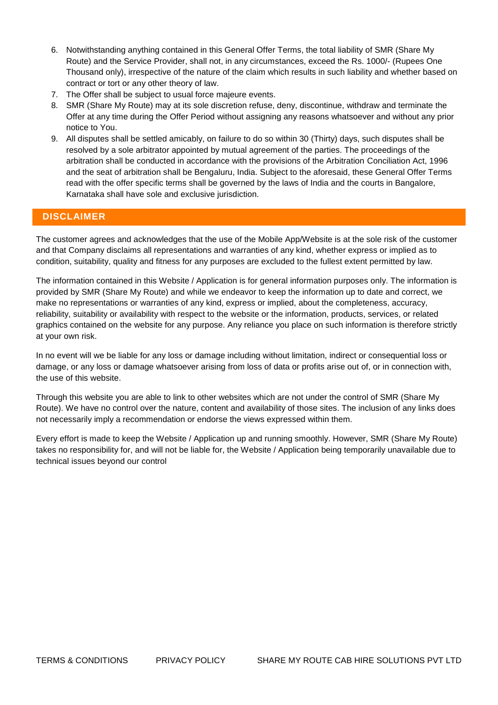- 6. Notwithstanding anything contained in this General Offer Terms, the total liability of SMR (Share My Route) and the Service Provider, shall not, in any circumstances, exceed the Rs. 1000/- (Rupees One Thousand only), irrespective of the nature of the claim which results in such liability and whether based on contract or tort or any other theory of law.
- 7. The Offer shall be subject to usual force majeure events.
- 8. SMR (Share My Route) may at its sole discretion refuse, deny, discontinue, withdraw and terminate the Offer at any time during the Offer Period without assigning any reasons whatsoever and without any prior notice to You.
- 9. All disputes shall be settled amicably, on failure to do so within 30 (Thirty) days, such disputes shall be resolved by a sole arbitrator appointed by mutual agreement of the parties. The proceedings of the arbitration shall be conducted in accordance with the provisions of the Arbitration Conciliation Act, 1996 and the seat of arbitration shall be Bengaluru, India. Subject to the aforesaid, these General Offer Terms read with the offer specific terms shall be governed by the laws of India and the courts in Bangalore, Karnataka shall have sole and exclusive jurisdiction.

## **DISCLAIMER**

The customer agrees and acknowledges that the use of the Mobile App/Website is at the sole risk of the customer and that Company disclaims all representations and warranties of any kind, whether express or implied as to condition, suitability, quality and fitness for any purposes are excluded to the fullest extent permitted by law.

The information contained in this Website / Application is for general information purposes only. The information is provided by SMR (Share My Route) and while we endeavor to keep the information up to date and correct, we make no representations or warranties of any kind, express or implied, about the completeness, accuracy, reliability, suitability or availability with respect to the website or the information, products, services, or related graphics contained on the website for any purpose. Any reliance you place on such information is therefore strictly at your own risk.

In no event will we be liable for any loss or damage including without limitation, indirect or consequential loss or damage, or any loss or damage whatsoever arising from loss of data or profits arise out of, or in connection with, the use of this website.

Through this website you are able to link to other websites which are not under the control of SMR (Share My Route). We have no control over the nature, content and availability of those sites. The inclusion of any links does not necessarily imply a recommendation or endorse the views expressed within them.

Every effort is made to keep the Website / Application up and running smoothly. However, SMR (Share My Route) takes no responsibility for, and will not be liable for, the Website / Application being temporarily unavailable due to technical issues beyond our control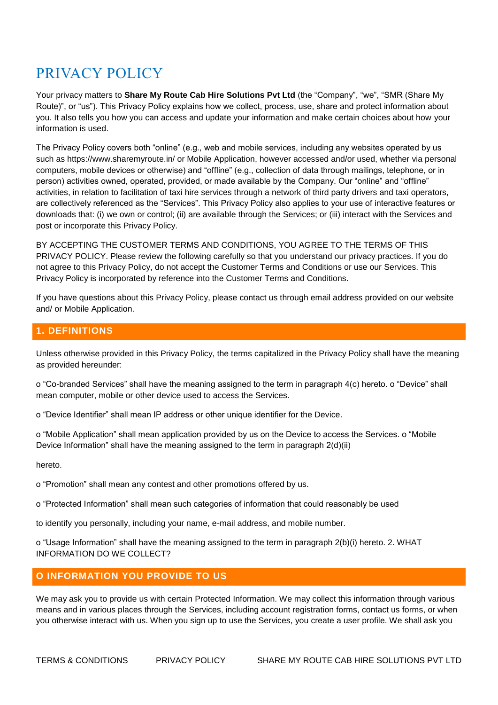## PRIVACY POLICY

Your privacy matters to **Share My Route Cab Hire Solutions Pvt Ltd** (the "Company", "we", "SMR (Share My Route)", or "us"). This Privacy Policy explains how we collect, process, use, share and protect information about you. It also tells you how you can access and update your information and make certain choices about how your information is used.

The Privacy Policy covers both "online" (e.g., web and mobile services, including any websites operated by us such as https://www.sharemyroute.in/ or Mobile Application, however accessed and/or used, whether via personal computers, mobile devices or otherwise) and "offline" (e.g., collection of data through mailings, telephone, or in person) activities owned, operated, provided, or made available by the Company. Our "online" and "offline" activities, in relation to facilitation of taxi hire services through a network of third party drivers and taxi operators, are collectively referenced as the "Services". This Privacy Policy also applies to your use of interactive features or downloads that: (i) we own or control; (ii) are available through the Services; or (iii) interact with the Services and post or incorporate this Privacy Policy.

BY ACCEPTING THE CUSTOMER TERMS AND CONDITIONS, YOU AGREE TO THE TERMS OF THIS PRIVACY POLICY. Please review the following carefully so that you understand our privacy practices. If you do not agree to this Privacy Policy, do not accept the Customer Terms and Conditions or use our Services. This Privacy Policy is incorporated by reference into the Customer Terms and Conditions.

If you have questions about this Privacy Policy, please contact us through email address provided on our website and/ or Mobile Application.

## **1. DEFINITIONS**

Unless otherwise provided in this Privacy Policy, the terms capitalized in the Privacy Policy shall have the meaning as provided hereunder:

o "Co-branded Services" shall have the meaning assigned to the term in paragraph 4(c) hereto. o "Device" shall mean computer, mobile or other device used to access the Services.

o "Device Identifier" shall mean IP address or other unique identifier for the Device.

o "Mobile Application" shall mean application provided by us on the Device to access the Services. o "Mobile Device Information" shall have the meaning assigned to the term in paragraph  $2(d)(ii)$ 

hereto.

o "Promotion" shall mean any contest and other promotions offered by us.

o "Protected Information" shall mean such categories of information that could reasonably be used

to identify you personally, including your name, e-mail address, and mobile number.

o "Usage Information" shall have the meaning assigned to the term in paragraph 2(b)(i) hereto. 2. WHAT INFORMATION DO WE COLLECT?

## **O INFORMATION YOU PROVIDE TO US**

We may ask you to provide us with certain Protected Information. We may collect this information through various means and in various places through the Services, including account registration forms, contact us forms, or when you otherwise interact with us. When you sign up to use the Services, you create a user profile. We shall ask you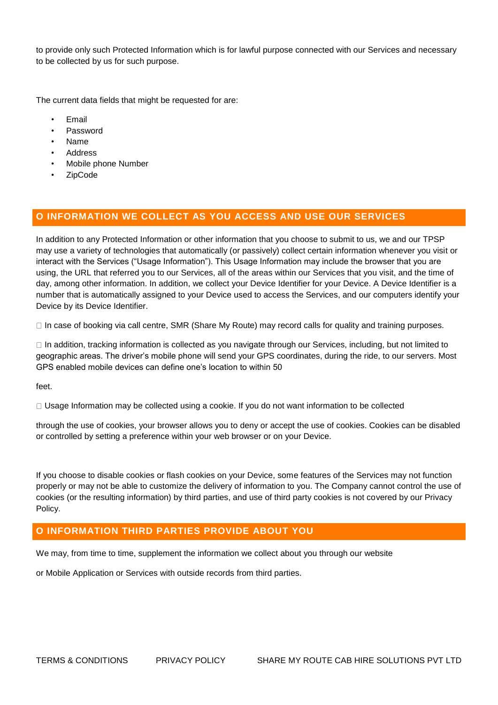to provide only such Protected Information which is for lawful purpose connected with our Services and necessary to be collected by us for such purpose.

The current data fields that might be requested for are:

- Email
- Password
- Name
- Address
- Mobile phone Number
- ZipCode

#### **O INFORMATION WE COLLECT AS YOU ACCESS AND USE OUR SERVICES**

In addition to any Protected Information or other information that you choose to submit to us, we and our TPSP may use a variety of technologies that automatically (or passively) collect certain information whenever you visit or interact with the Services ("Usage Information"). This Usage Information may include the browser that you are using, the URL that referred you to our Services, all of the areas within our Services that you visit, and the time of day, among other information. In addition, we collect your Device Identifier for your Device. A Device Identifier is a number that is automatically assigned to your Device used to access the Services, and our computers identify your Device by its Device Identifier.

 $\Box$  In case of booking via call centre, SMR (Share My Route) may record calls for quality and training purposes.

In addition, tracking information is collected as you navigate through our Services, including, but not limited to geographic areas. The driver's mobile phone will send your GPS coordinates, during the ride, to our servers. Most GPS enabled mobile devices can define one's location to within 50

feet.

 $\Box$  Usage Information may be collected using a cookie. If you do not want information to be collected

through the use of cookies, your browser allows you to deny or accept the use of cookies. Cookies can be disabled or controlled by setting a preference within your web browser or on your Device.

If you choose to disable cookies or flash cookies on your Device, some features of the Services may not function properly or may not be able to customize the delivery of information to you. The Company cannot control the use of cookies (or the resulting information) by third parties, and use of third party cookies is not covered by our Privacy Policy.

#### **O INFORMATION THIRD PARTIES PROVIDE ABOUT YOU**

We may, from time to time, supplement the information we collect about you through our website

or Mobile Application or Services with outside records from third parties.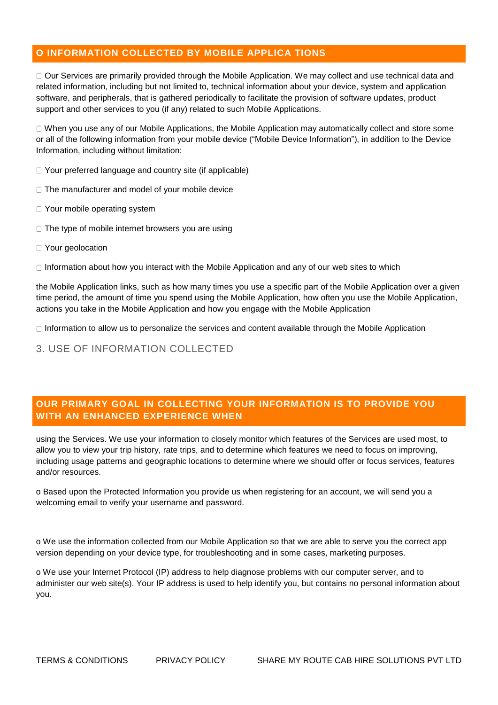## **O INFORMATION COLLECTED BY MOBILE APPLICA TIONS**

Our Services are primarily provided through the Mobile Application. We may collect and use technical data and related information, including but not limited to, technical information about your device, system and application software, and peripherals, that is gathered periodically to facilitate the provision of software updates, product support and other services to you (if any) related to such Mobile Applications.

When you use any of our Mobile Applications, the Mobile Application may automatically collect and store some or all of the following information from your mobile device ("Mobile Device Information"), in addition to the Device Information, including without limitation:

□ Your preferred language and country site (if applicable)

- $\Box$  The manufacturer and model of your mobile device
- □ Your mobile operating system
- $\Box$  The type of mobile internet browsers you are using
- □ Your geolocation

 $\Box$  Information about how you interact with the Mobile Application and any of our web sites to which

the Mobile Application links, such as how many times you use a specific part of the Mobile Application over a given time period, the amount of time you spend using the Mobile Application, how often you use the Mobile Application, actions you take in the Mobile Application and how you engage with the Mobile Application

 $\Box$  Information to allow us to personalize the services and content available through the Mobile Application

## 3. USE OF INFORMATION COLLECTED

## **OUR PRIMARY GOAL IN COLLECTING YOUR INFORMATION IS TO PROVIDE YOU WITH AN ENHANCED EXPERIENCE WHEN**

using the Services. We use your information to closely monitor which features of the Services are used most, to allow you to view your trip history, rate trips, and to determine which features we need to focus on improving, including usage patterns and geographic locations to determine where we should offer or focus services, features and/or resources.

o Based upon the Protected Information you provide us when registering for an account, we will send you a welcoming email to verify your username and password.

o We use the information collected from our Mobile Application so that we are able to serve you the correct app version depending on your device type, for troubleshooting and in some cases, marketing purposes.

o We use your Internet Protocol (IP) address to help diagnose problems with our computer server, and to administer our web site(s). Your IP address is used to help identify you, but contains no personal information about you.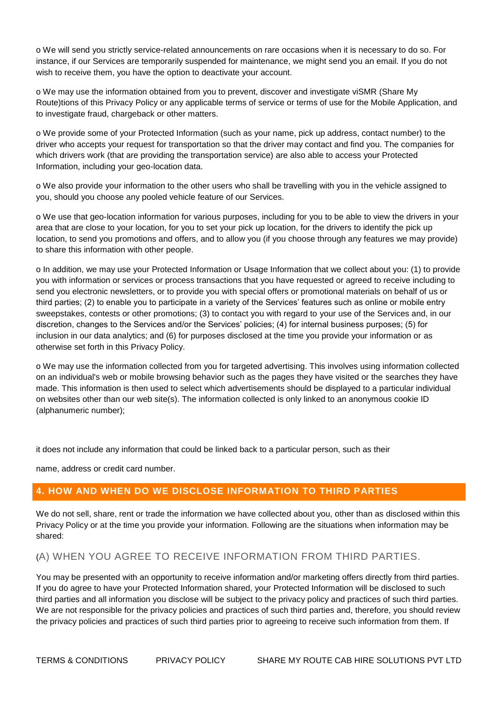o We will send you strictly service-related announcements on rare occasions when it is necessary to do so. For instance, if our Services are temporarily suspended for maintenance, we might send you an email. If you do not wish to receive them, you have the option to deactivate your account.

o We may use the information obtained from you to prevent, discover and investigate viSMR (Share My Route)tions of this Privacy Policy or any applicable terms of service or terms of use for the Mobile Application, and to investigate fraud, chargeback or other matters.

o We provide some of your Protected Information (such as your name, pick up address, contact number) to the driver who accepts your request for transportation so that the driver may contact and find you. The companies for which drivers work (that are providing the transportation service) are also able to access your Protected Information, including your geo-location data.

o We also provide your information to the other users who shall be travelling with you in the vehicle assigned to you, should you choose any pooled vehicle feature of our Services.

o We use that geo-location information for various purposes, including for you to be able to view the drivers in your area that are close to your location, for you to set your pick up location, for the drivers to identify the pick up location, to send you promotions and offers, and to allow you (if you choose through any features we may provide) to share this information with other people.

o In addition, we may use your Protected Information or Usage Information that we collect about you: (1) to provide you with information or services or process transactions that you have requested or agreed to receive including to send you electronic newsletters, or to provide you with special offers or promotional materials on behalf of us or third parties; (2) to enable you to participate in a variety of the Services' features such as online or mobile entry sweepstakes, contests or other promotions; (3) to contact you with regard to your use of the Services and, in our discretion, changes to the Services and/or the Services' policies; (4) for internal business purposes; (5) for inclusion in our data analytics; and (6) for purposes disclosed at the time you provide your information or as otherwise set forth in this Privacy Policy.

o We may use the information collected from you for targeted advertising. This involves using information collected on an individual's web or mobile browsing behavior such as the pages they have visited or the searches they have made. This information is then used to select which advertisements should be displayed to a particular individual on websites other than our web site(s). The information collected is only linked to an anonymous cookie ID (alphanumeric number);

it does not include any information that could be linked back to a particular person, such as their

name, address or credit card number.

#### **4. HOW AND WHEN DO WE DISCLOSE INFORMATION TO THIRD PARTIES**

We do not sell, share, rent or trade the information we have collected about you, other than as disclosed within this Privacy Policy or at the time you provide your information. Following are the situations when information may be shared:

#### (A) WHEN YOU AGREE TO RECEIVE INFORMATION FROM THIRD PARTIES.

You may be presented with an opportunity to receive information and/or marketing offers directly from third parties. If you do agree to have your Protected Information shared, your Protected Information will be disclosed to such third parties and all information you disclose will be subject to the privacy policy and practices of such third parties. We are not responsible for the privacy policies and practices of such third parties and, therefore, you should review the privacy policies and practices of such third parties prior to agreeing to receive such information from them. If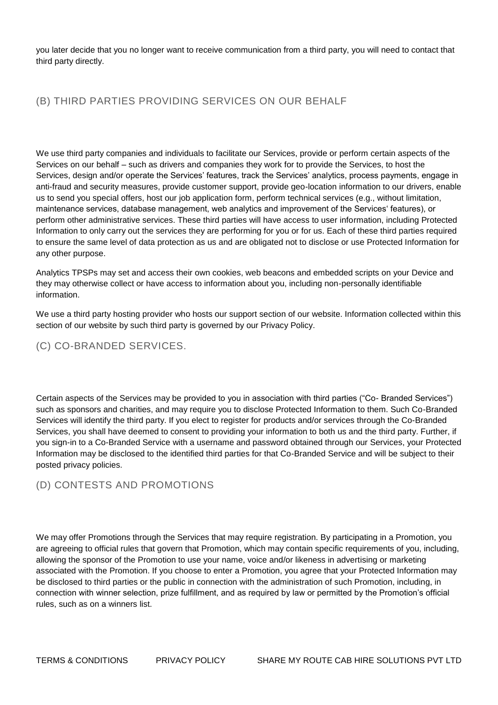you later decide that you no longer want to receive communication from a third party, you will need to contact that third party directly.

## (B) THIRD PARTIES PROVIDING SERVICES ON OUR BEHALF

We use third party companies and individuals to facilitate our Services, provide or perform certain aspects of the Services on our behalf – such as drivers and companies they work for to provide the Services, to host the Services, design and/or operate the Services' features, track the Services' analytics, process payments, engage in anti-fraud and security measures, provide customer support, provide geo-location information to our drivers, enable us to send you special offers, host our job application form, perform technical services (e.g., without limitation, maintenance services, database management, web analytics and improvement of the Services' features), or perform other administrative services. These third parties will have access to user information, including Protected Information to only carry out the services they are performing for you or for us. Each of these third parties required to ensure the same level of data protection as us and are obligated not to disclose or use Protected Information for any other purpose.

Analytics TPSPs may set and access their own cookies, web beacons and embedded scripts on your Device and they may otherwise collect or have access to information about you, including non-personally identifiable information.

We use a third party hosting provider who hosts our support section of our website. Information collected within this section of our website by such third party is governed by our Privacy Policy.

## (C) CO-BRANDED SERVICES.

Certain aspects of the Services may be provided to you in association with third parties ("Co- Branded Services") such as sponsors and charities, and may require you to disclose Protected Information to them. Such Co-Branded Services will identify the third party. If you elect to register for products and/or services through the Co-Branded Services, you shall have deemed to consent to providing your information to both us and the third party. Further, if you sign-in to a Co-Branded Service with a username and password obtained through our Services, your Protected Information may be disclosed to the identified third parties for that Co-Branded Service and will be subject to their posted privacy policies.

## (D) CONTESTS AND PROMOTIONS

We may offer Promotions through the Services that may require registration. By participating in a Promotion, you are agreeing to official rules that govern that Promotion, which may contain specific requirements of you, including, allowing the sponsor of the Promotion to use your name, voice and/or likeness in advertising or marketing associated with the Promotion. If you choose to enter a Promotion, you agree that your Protected Information may be disclosed to third parties or the public in connection with the administration of such Promotion, including, in connection with winner selection, prize fulfillment, and as required by law or permitted by the Promotion's official rules, such as on a winners list.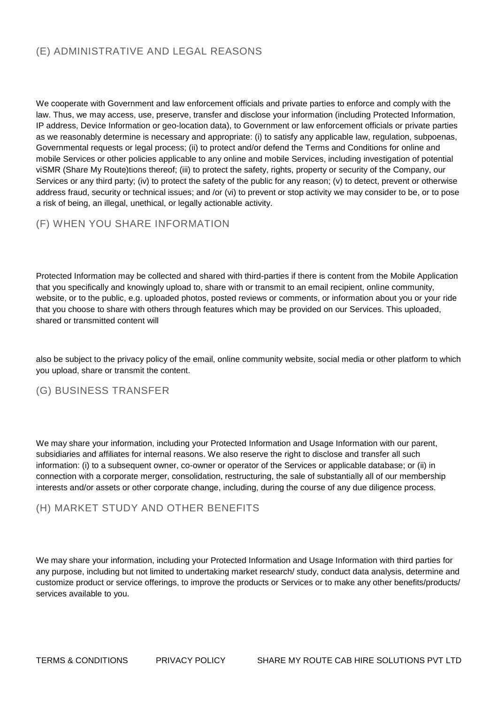## (E) ADMINISTRATIVE AND LEGAL REASONS

We cooperate with Government and law enforcement officials and private parties to enforce and comply with the law. Thus, we may access, use, preserve, transfer and disclose your information (including Protected Information, IP address, Device Information or geo-location data), to Government or law enforcement officials or private parties as we reasonably determine is necessary and appropriate: (i) to satisfy any applicable law, regulation, subpoenas, Governmental requests or legal process; (ii) to protect and/or defend the Terms and Conditions for online and mobile Services or other policies applicable to any online and mobile Services, including investigation of potential viSMR (Share My Route)tions thereof; (iii) to protect the safety, rights, property or security of the Company, our Services or any third party; (iv) to protect the safety of the public for any reason; (v) to detect, prevent or otherwise address fraud, security or technical issues; and /or (vi) to prevent or stop activity we may consider to be, or to pose a risk of being, an illegal, unethical, or legally actionable activity.

## (F) WHEN YOU SHARE INFORMATION

Protected Information may be collected and shared with third-parties if there is content from the Mobile Application that you specifically and knowingly upload to, share with or transmit to an email recipient, online community, website, or to the public, e.g. uploaded photos, posted reviews or comments, or information about you or your ride that you choose to share with others through features which may be provided on our Services. This uploaded, shared or transmitted content will

also be subject to the privacy policy of the email, online community website, social media or other platform to which you upload, share or transmit the content.

#### (G) BUSINESS TRANSFER

We may share your information, including your Protected Information and Usage Information with our parent, subsidiaries and affiliates for internal reasons. We also reserve the right to disclose and transfer all such information: (i) to a subsequent owner, co-owner or operator of the Services or applicable database; or (ii) in connection with a corporate merger, consolidation, restructuring, the sale of substantially all of our membership interests and/or assets or other corporate change, including, during the course of any due diligence process.

#### (H) MARKET STUDY AND OTHER BENEFITS

We may share your information, including your Protected Information and Usage Information with third parties for any purpose, including but not limited to undertaking market research/ study, conduct data analysis, determine and customize product or service offerings, to improve the products or Services or to make any other benefits/products/ services available to you.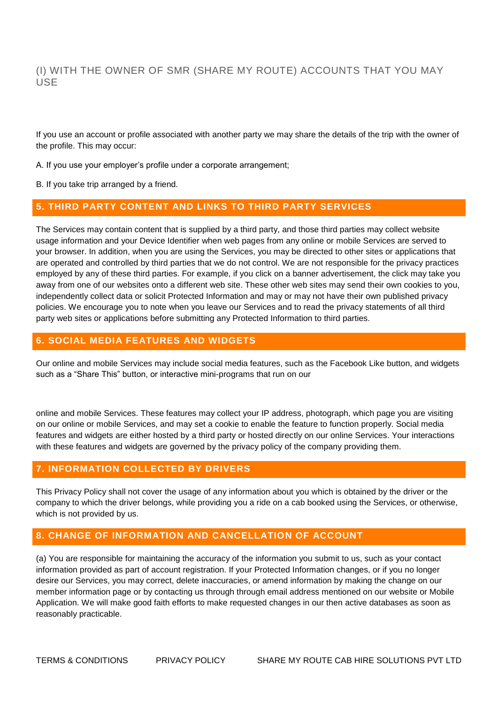(I) WITH THE OWNER OF SMR (SHARE MY ROUTE) ACCOUNTS THAT YOU MAY USE

If you use an account or profile associated with another party we may share the details of the trip with the owner of the profile. This may occur:

A. If you use your employer's profile under a corporate arrangement;

B. If you take trip arranged by a friend.

#### **5. THIRD PARTY CONTENT AND LINKS TO THIRD PARTY SERVICES**

The Services may contain content that is supplied by a third party, and those third parties may collect website usage information and your Device Identifier when web pages from any online or mobile Services are served to your browser. In addition, when you are using the Services, you may be directed to other sites or applications that are operated and controlled by third parties that we do not control. We are not responsible for the privacy practices employed by any of these third parties. For example, if you click on a banner advertisement, the click may take you away from one of our websites onto a different web site. These other web sites may send their own cookies to you, independently collect data or solicit Protected Information and may or may not have their own published privacy policies. We encourage you to note when you leave our Services and to read the privacy statements of all third party web sites or applications before submitting any Protected Information to third parties.

#### **6. SOCIAL MEDIA FEATURES AND WIDGETS**

Our online and mobile Services may include social media features, such as the Facebook Like button, and widgets such as a "Share This" button, or interactive mini-programs that run on our

online and mobile Services. These features may collect your IP address, photograph, which page you are visiting on our online or mobile Services, and may set a cookie to enable the feature to function properly. Social media features and widgets are either hosted by a third party or hosted directly on our online Services. Your interactions with these features and widgets are governed by the privacy policy of the company providing them.

#### **7. INFORMATION COLLECTED BY DRIVERS**

This Privacy Policy shall not cover the usage of any information about you which is obtained by the driver or the company to which the driver belongs, while providing you a ride on a cab booked using the Services, or otherwise, which is not provided by us.

#### **8. CHANGE OF INFORMATION AND CANCELLATION OF ACCOUNT**

(a) You are responsible for maintaining the accuracy of the information you submit to us, such as your contact information provided as part of account registration. If your Protected Information changes, or if you no longer desire our Services, you may correct, delete inaccuracies, or amend information by making the change on our member information page or by contacting us through through email address mentioned on our website or Mobile Application. We will make good faith efforts to make requested changes in our then active databases as soon as reasonably practicable.